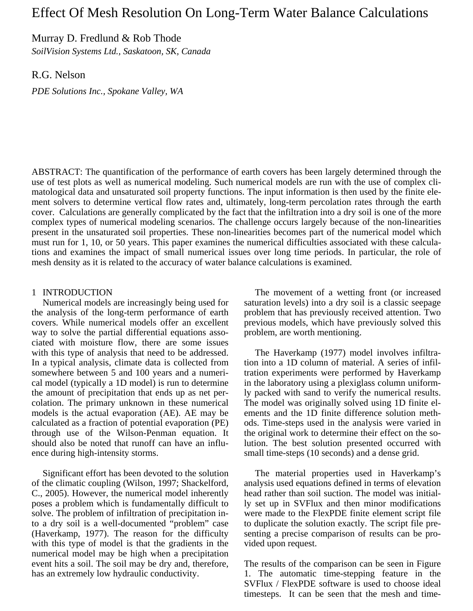# Effect Of Mesh Resolution On Long-Term Water Balance Calculations

Murray D. Fredlund & Rob Thode

*SoilVision Systems Ltd., Saskatoon, SK, Canada* 

# R.G. Nelson

*PDE Solutions Inc., Spokane Valley, WA*

ABSTRACT: The quantification of the performance of earth covers has been largely determined through the use of test plots as well as numerical modeling. Such numerical models are run with the use of complex climatological data and unsaturated soil property functions. The input information is then used by the finite element solvers to determine vertical flow rates and, ultimately, long-term percolation rates through the earth cover. Calculations are generally complicated by the fact that the infiltration into a dry soil is one of the more complex types of numerical modeling scenarios. The challenge occurs largely because of the non-linearities present in the unsaturated soil properties. These non-linearities becomes part of the numerical model which must run for 1, 10, or 50 years. This paper examines the numerical difficulties associated with these calculations and examines the impact of small numerical issues over long time periods. In particular, the role of mesh density as it is related to the accuracy of water balance calculations is examined.

# 1 INTRODUCTION

Numerical models are increasingly being used for the analysis of the long-term performance of earth covers. While numerical models offer an excellent way to solve the partial differential equations associated with moisture flow, there are some issues with this type of analysis that need to be addressed. In a typical analysis, climate data is collected from somewhere between 5 and 100 years and a numerical model (typically a 1D model) is run to determine the amount of precipitation that ends up as net percolation. The primary unknown in these numerical models is the actual evaporation (AE). AE may be calculated as a fraction of potential evaporation (PE) through use of the Wilson-Penman equation. It should also be noted that runoff can have an influence during high-intensity storms.

Significant effort has been devoted to the solution of the climatic coupling (Wilson, 1997; Shackelford, C., 2005). However, the numerical model inherently poses a problem which is fundamentally difficult to solve. The problem of infiltration of precipitation into a dry soil is a well-documented "problem" case (Haverkamp, 1977). The reason for the difficulty with this type of model is that the gradients in the numerical model may be high when a precipitation event hits a soil. The soil may be dry and, therefore, has an extremely low hydraulic conductivity.

The movement of a wetting front (or increased saturation levels) into a dry soil is a classic seepage problem that has previously received attention. Two previous models, which have previously solved this problem, are worth mentioning.

The Haverkamp (1977) model involves infiltration into a 1D column of material. A series of infiltration experiments were performed by Haverkamp in the laboratory using a plexiglass column uniformly packed with sand to verify the numerical results. The model was originally solved using 1D finite elements and the 1D finite difference solution methods. Time-steps used in the analysis were varied in the original work to determine their effect on the solution. The best solution presented occurred with small time-steps (10 seconds) and a dense grid.

The material properties used in Haverkamp's analysis used equations defined in terms of elevation head rather than soil suction. The model was initially set up in SVFlux and then minor modifications were made to the FlexPDE finite element script file to duplicate the solution exactly. The script file presenting a precise comparison of results can be provided upon request.

The results of the comparison can be seen in Figure 1. The automatic time-stepping feature in the SVFlux / FlexPDE software is used to choose ideal timesteps. It can be seen that the mesh and time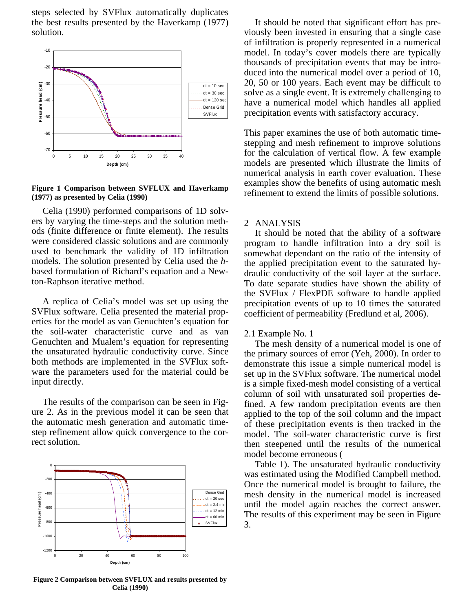steps selected by SVFlux automatically duplicates the best results presented by the Haverkamp (1977) solution.



**Figure 1 Comparison between SVFLUX and Haverkamp (1977) as presented by Celia (1990)** 

Celia (1990) performed comparisons of 1D solvers by varying the time-steps and the solution methods (finite difference or finite element). The results were considered classic solutions and are commonly used to benchmark the validity of 1D infiltration models. The solution presented by Celia used the *h*based formulation of Richard's equation and a Newton-Raphson iterative method.

A replica of Celia's model was set up using the SVFlux software. Celia presented the material properties for the model as van Genuchten's equation for the soil-water characteristic curve and as van Genuchten and Mualem's equation for representing the unsaturated hydraulic conductivity curve. Since both methods are implemented in the SVFlux software the parameters used for the material could be input directly.

The results of the comparison can be seen in Figure 2. As in the previous model it can be seen that the automatic mesh generation and automatic timestep refinement allow quick convergence to the correct solution.



**Figure 2 Comparison between SVFLUX and results presented by Celia (1990)** 

It should be noted that significant effort has previously been invested in ensuring that a single case of infiltration is properly represented in a numerical model. In today's cover models there are typically thousands of precipitation events that may be introduced into the numerical model over a period of 10, 20, 50 or 100 years. Each event may be difficult to solve as a single event. It is extremely challenging to have a numerical model which handles all applied precipitation events with satisfactory accuracy.

This paper examines the use of both automatic timestepping and mesh refinement to improve solutions for the calculation of vertical flow. A few example models are presented which illustrate the limits of numerical analysis in earth cover evaluation. These examples show the benefits of using automatic mesh refinement to extend the limits of possible solutions.

#### 2 ANALYSIS

It should be noted that the ability of a software program to handle infiltration into a dry soil is somewhat dependant on the ratio of the intensity of the applied precipitation event to the saturated hydraulic conductivity of the soil layer at the surface. To date separate studies have shown the ability of the SVFlux / FlexPDE software to handle applied precipitation events of up to 10 times the saturated coefficient of permeability (Fredlund et al, 2006).

#### 2.1 Example No. 1

The mesh density of a numerical model is one of the primary sources of error (Yeh, 2000). In order to demonstrate this issue a simple numerical model is set up in the SVFlux software. The numerical model is a simple fixed-mesh model consisting of a vertical column of soil with unsaturated soil properties defined. A few random precipitation events are then applied to the top of the soil column and the impact of these precipitation events is then tracked in the model. The soil-water characteristic curve is first then steepened until the results of the numerical model become erroneous (

Table 1). The unsaturated hydraulic conductivity was estimated using the Modified Campbell method. Once the numerical model is brought to failure, the mesh density in the numerical model is increased until the model again reaches the correct answer. The results of this experiment may be seen in Figure 3.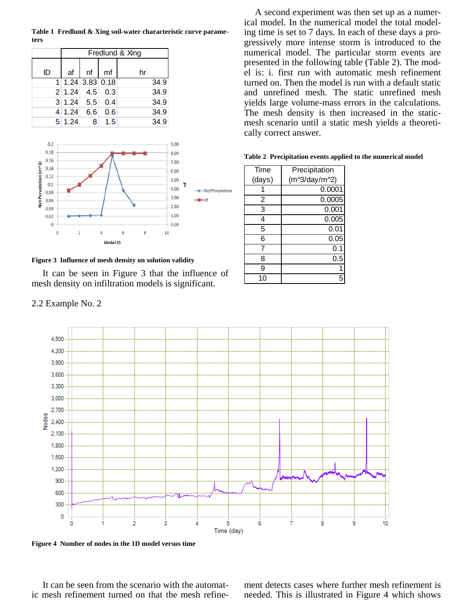**Table 1 Fredlund & Xing soil-water characteristic curve parameters** 

| Fredlund & Xing |    |                   |                                                       |
|-----------------|----|-------------------|-------------------------------------------------------|
| af              | nf | mf                | hr                                                    |
|                 |    |                   | 34.9                                                  |
|                 |    | 0.3               | 34.9                                                  |
|                 |    | 0.4               | 34.9                                                  |
|                 |    | 0.6               | 34.9                                                  |
| $5 \; 1.24$     | 8  | 1.5               | 34.9                                                  |
|                 |    | 2 1.24 <br>4 1.24 | $1$   1.24   3.83   0.18<br>4.5<br>3 1.24 5.5 <br>6.6 |



**Figure 3 Influence of mesh density on solution validity** 

It can be seen in Figure 3 that the influence of mesh density on infiltration models is significant.

## 2.2 Example No. 2

A second experiment was then set up as a numerical model. In the numerical model the total modeling time is set to 7 days. In each of these days a progressively more intense storm is introduced to the numerical model. The particular storm events are presented in the following table (Table 2). The model is: i. first run with automatic mesh refinement turned on. Then the model is run with a default static and unrefined mesh. The static unrefined mesh yields large volume-mass errors in the calculations. The mesh density is then increased in the staticmesh scenario until a static mesh yields a theoretically correct answer.

**Table 2 Precipitation events applied to the numerical model** 

| Time   | Precipitation |
|--------|---------------|
| (days) | (m^3/day/m^2) |
|        | 0.0001        |
| 2      | 0.0005        |
| 3      | 0.001         |
| 4      | 0.005         |
| 5      | 0.01          |
| 6      | 0.05          |
| 7      | 0.1           |
| 8      | 0.5           |
| 9      |               |
|        |               |



**Figure 4 Number of nodes in the 1D model versus time** 

It can be seen from the scenario with the automatic mesh refinement turned on that the mesh refinement detects cases where further mesh refinement is needed. This is illustrated in Figure 4 which shows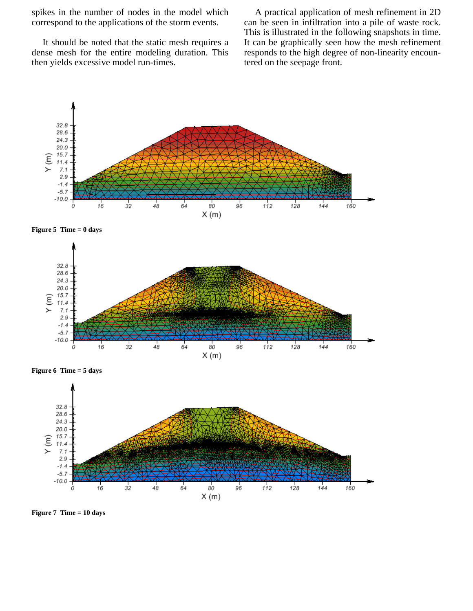spikes in the number of nodes in the model which correspond to the applications of the storm events.

It should be noted that the static mesh requires a dense mesh for the entire modeling duration. This then yields excessive model run-times.

A practical application of mesh refinement in 2D can be seen in infiltration into a pile of waste rock. This is illustrated in the following snapshots in time. It can be graphically seen how the mesh refinement responds to the high degree of non-linearity encountered on the seepage front.



**Figure 5 Time = 0 days**



**Figure 6 Time = 5 days** 



**Figure 7 Time = 10 days**